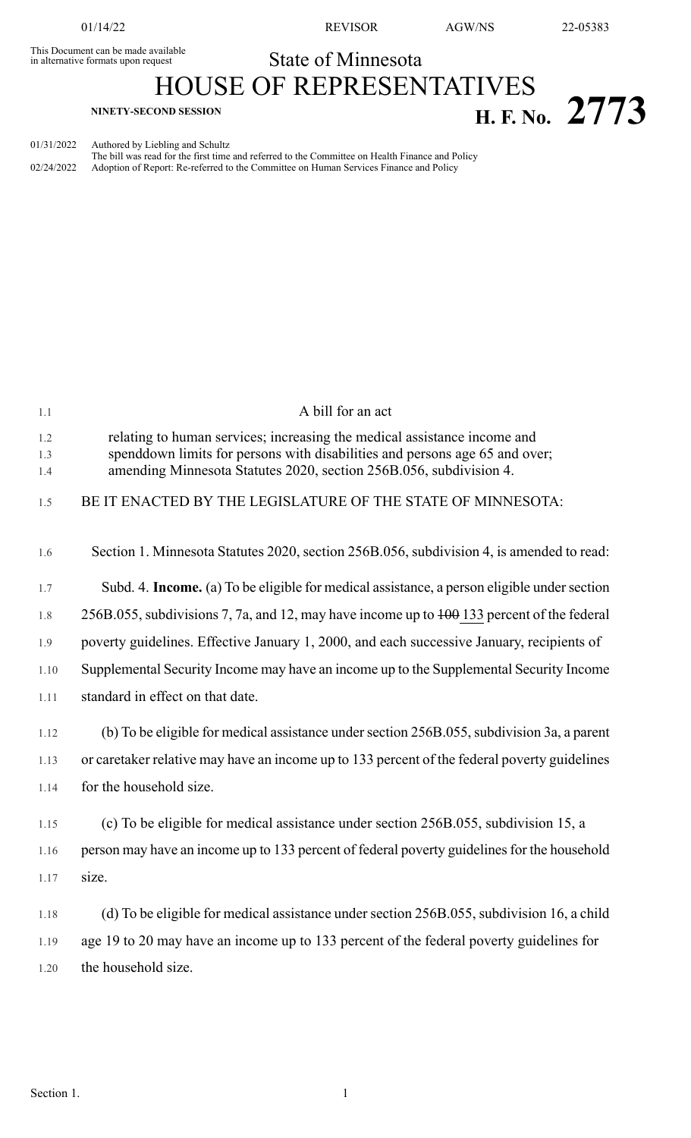This Document can be made available<br>in alternative formats upon request

01/14/22 REVISOR AGW/NS 22-05383

## State of Minnesota

## HOUSE OF REPRESENTATIVES **H. F. No. 2773**

01/31/2022 Authored by Liebling and Schultz

The bill was read for the first time and referred to the Committee on Health Finance and Policy 02/24/2022 Adoption of Report: Re-referred to the Committee on Human Services Finance and Policy

| 1.1               | A bill for an act                                                                                                                                                                                                             |
|-------------------|-------------------------------------------------------------------------------------------------------------------------------------------------------------------------------------------------------------------------------|
| 1.2<br>1.3<br>1.4 | relating to human services; increasing the medical assistance income and<br>spenddown limits for persons with disabilities and persons age 65 and over;<br>amending Minnesota Statutes 2020, section 256B.056, subdivision 4. |
| 1.5               | BE IT ENACTED BY THE LEGISLATURE OF THE STATE OF MINNESOTA:                                                                                                                                                                   |
| 1.6               | Section 1. Minnesota Statutes 2020, section 256B.056, subdivision 4, is amended to read:                                                                                                                                      |
| 1.7               | Subd. 4. Income. (a) To be eligible for medical assistance, a person eligible under section                                                                                                                                   |
| 1.8               | 256B.055, subdivisions 7, 7a, and 12, may have income up to $\frac{100}{133}$ percent of the federal                                                                                                                          |
| 1.9               | poverty guidelines. Effective January 1, 2000, and each successive January, recipients of                                                                                                                                     |
| 1.10              | Supplemental Security Income may have an income up to the Supplemental Security Income                                                                                                                                        |
| 1.11              | standard in effect on that date.                                                                                                                                                                                              |
| 1.12              | (b) To be eligible for medical assistance under section 256B.055, subdivision 3a, a parent                                                                                                                                    |
| 1.13              | or caretaker relative may have an income up to 133 percent of the federal poverty guidelines                                                                                                                                  |
| 1.14              | for the household size.                                                                                                                                                                                                       |
| 1.15              | (c) To be eligible for medical assistance under section 256B.055, subdivision 15, a                                                                                                                                           |
| 1.16              | person may have an income up to 133 percent of federal poverty guidelines for the household                                                                                                                                   |
| 1.17              | size.                                                                                                                                                                                                                         |
| 1.18              | (d) To be eligible for medical assistance under section 256B.055, subdivision 16, a child                                                                                                                                     |
| 1.19              | age 19 to 20 may have an income up to 133 percent of the federal poverty guidelines for                                                                                                                                       |
| 1.20              | the household size.                                                                                                                                                                                                           |
|                   |                                                                                                                                                                                                                               |